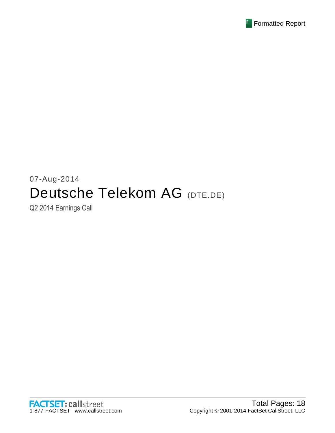

# 07-Aug-2014 Deutsche Telekom AG (DTE.DE)

Q2 2014 Earnings Call

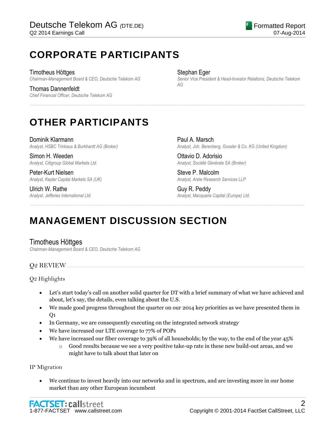# **CORPORATE PARTICIPANTS**

Timotheus Höttges *Chairman-Management Board & CEO, Deutsche Telekom AG*

Thomas Dannenfeldt *Chief Financial Officer, Deutsche Telekom AG*

### Stephan Eger

......................................................................................................................................................................................................................................................

......................................................................................................................................................................................................................................................

*Senior Vice President & Head-Investor Relations, Deutsche Telekom AG*

# **OTHER PARTICIPANTS**

Dominik Klarmann *Analyst, HSBC Trinkaus & Burkhardt AG (Broker)*

Simon H. Weeden *Analyst, Citigroup Global Markets Ltd.*

Peter-Kurt Nielsen *Analyst, Kepler Capital Markets SA (UK)*

Ulrich W. Rathe *Analyst, Jefferies International Ltd.*

Paul A. Marsch *Analyst, Joh. Berenberg, Gossler & Co. KG (United Kingdom)*

Ottavio D. Adorisio *Analyst, Société Générale SA (Broker)*

Steve P. Malcolm *Analyst, Arete Research Services LLP*

Guy R. Peddy *Analyst, Macquarie Capital (Europe) Ltd.*

# **MANAGEMENT DISCUSSION SECTION**

# Timotheus Höttges

*Chairman-Management Board & CEO, Deutsche Telekom AG*

# **O2 REVIEW.**

Q2 Highlights

- Let's start today's call on another solid quarter for DT with a brief summary of what we have achieved and about, let's say, the details, even talking about the U.S.
- We made good progress throughout the quarter on our 2014 key priorities as we have presented them in  $O<sub>1</sub>$
- In Germany, we are consequently executing on the integrated network strategy
- We have increased our LTE coverage to 77% of POPs
- We have increased our fiber coverage to 39% of all households; by the way, to the end of the year 45%
	- $\circ$  Good results because we see a very positive take-up rate in these new build-out areas, and we might have to talk about that later on

IP Migration

 We continue to invest heavily into our networks and in spectrum, and are investing more in our home market than any other European incumbent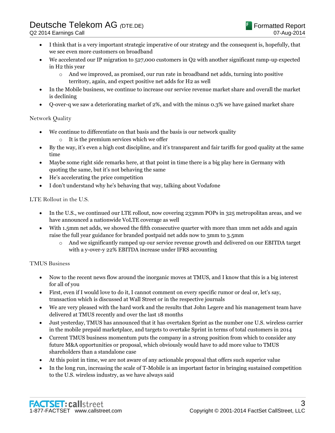- I think that is a very important strategic imperative of our strategy and the consequent is, hopefully, that we see even more customers on broadband
- We accelerated our IP migration to 527,000 customers in Q2 with another significant ramp-up expected in H2 this year
	- o And we improved, as promised, our run rate in broadband net adds, turning into positive territory, again, and expect positive net adds for H2 as well
- In the Mobile business, we continue to increase our service revenue market share and overall the market is declining
- Q-over-q we saw a deteriorating market of 2%, and with the minus 0.3% we have gained market share

# Network Quality

- We continue to differentiate on that basis and the basis is our network quality
	- o It is the premium services which we offer
- By the way, it's even a high cost discipline, and it's transparent and fair tariffs for good quality at the same time
- Maybe some right side remarks here, at that point in time there is a big play here in Germany with quoting the same, but it's not behaving the same
- He's accelerating the price competition
- I don't understand why he's behaving that way, talking about Vodafone

LTE Rollout in the U.S.

- In the U.S., we continued our LTE rollout, now covering 233mm POPs in 325 metropolitan areas, and we have announced a nationwide VoLTE coverage as well
- With 1.5mm net adds, we showed the fifth consecutive quarter with more than 1mm net adds and again raise the full year guidance for branded postpaid net adds now to 3mm to 3.5mm
	- o And we significantly ramped up our service revenue growth and delivered on our EBITDA target with a y-over-y 22% EBITDA increase under IFRS accounting

# TMUS Business

- Now to the recent news flow around the inorganic moves at TMUS, and I know that this is a big interest for all of you
- First, even if I would love to do it, I cannot comment on every specific rumor or deal or, let's say, transaction which is discussed at Wall Street or in the respective journals
- We are very pleased with the hard work and the results that John Legere and his management team have delivered at TMUS recently and over the last 18 months
- Just yesterday, TMUS has announced that it has overtaken Sprint as the number one U.S. wireless carrier in the mobile prepaid marketplace, and targets to overtake Sprint in terms of total customers in 2014
- Current TMUS business momentum puts the company in a strong position from which to consider any future M&A opportunities or proposal, which obviously would have to add more value to TMUS shareholders than a standalone case
- At this point in time, we are not aware of any actionable proposal that offers such superior value
- In the long run, increasing the scale of T-Mobile is an important factor in bringing sustained competition to the U.S. wireless industry, as we have always said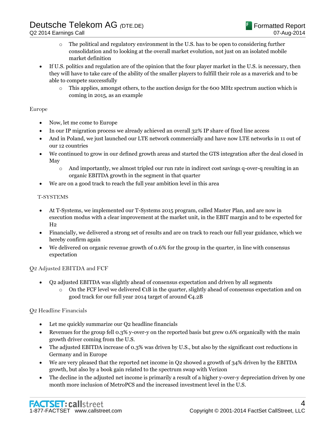- $\circ$  The political and regulatory environment in the U.S. has to be open to considering further consolidation and to looking at the overall market evolution, not just on an isolated mobile market definition
- If U.S. politics and regulation are of the opinion that the four player market in the U.S. is necessary, then they will have to take care of the ability of the smaller players to fulfill their role as a maverick and to be able to compete successfully
	- $\circ$  This applies, amongst others, to the auction design for the 600 MHz spectrum auction which is coming in 2015, as an example

### Europe

- Now, let me come to Europe
- In our IP migration process we already achieved an overall 32% IP share of fixed line access
- And in Poland, we just launched our LTE network commercially and have now LTE networks in 11 out of our 12 countries
- We continued to grow in our defined growth areas and started the GTS integration after the deal closed in May
	- o And importantly, we almost tripled our run rate in indirect cost savings q-over-q resulting in an organic EBITDA growth in the segment in that quarter
- We are on a good track to reach the full year ambition level in this area

### T-SYSTEMS

- At T-Systems, we implemented our T-Systems 2015 program, called Master Plan, and are now in execution modus with a clear improvement at the market unit, in the EBIT margin and to be expected for  $H<sub>2</sub>$
- Financially, we delivered a strong set of results and are on track to reach our full year guidance, which we hereby confirm again
- We delivered on organic revenue growth of 0.6% for the group in the quarter, in line with consensus expectation

### Q2 Adjusted EBITDA and FCF

- Q2 adjusted EBITDA was slightly ahead of consensus expectation and driven by all segments
	- o On the FCF level we delivered €1B in the quarter, slightly ahead of consensus expectation and on good track for our full year 2014 target of around  $\epsilon_{4.2B}$

# Q2 Headline Financials

- Let me quickly summarize our Q2 headline financials
- Revenues for the group fell 0.3% y-over-y on the reported basis but grew 0.6% organically with the main growth driver coming from the U.S.
- The adjusted EBITDA increase of 0.3% was driven by U.S., but also by the significant cost reductions in Germany and in Europe
- We are very pleased that the reported net income in Q2 showed a growth of 34% driven by the EBITDA growth, but also by a book gain related to the spectrum swap with Verizon
- The decline in the adjusted net income is primarily a result of a higher y-over-y depreciation driven by one month more inclusion of MetroPCS and the increased investment level in the U.S.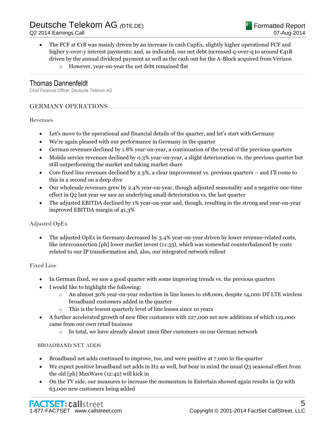The FCF at  $\epsilon$ 1B was mainly driven by an increase in cash CapEx, slightly higher operational FCF and higher y-over-y interest payments; and, as indicated, our net debt increased q-over-q to around  $\epsilon_{41B}$ driven by the annual dividend payment as well as the cash out for the A-Block acquired from Verizon

......................................................................................................................................................................................................................................................

o However, year-on-year the net debt remained flat

# Thomas Dannenfeldt

*Chief Financial Officer, Deutsche Telekom AG*

# GERMANY OPERATIONS...

## Revenues

- Let's move to the operational and financial details of the quarter, and let's start with Germany
- We're again pleased with our performance in Germany in the quarter
- German revenues declined by 1.8% year-on-year, a continuation of the trend of the previous quarters
- Mobile service revenues declined by 0.3% year-on-year, a slight deterioration vs. the previous quarter but still outperforming the market and taking market share
- Core fixed line revenues declined by 2.3%, a clear improvement vs. previous quarters and I'll come to this in a second on a deep dive
- Our wholesale revenues grew by 2.4% year-on-year, though adjusted seasonality and a negative one-time effect in Q2 last year we saw an underlying small deterioration vs. the last quarter
- The adjusted EBITDA declined by 1% year-on-year and, though, resulting in the strong and year-on-year improved EBITDA margin of 41.3%

# Adjusted OpEx

 The adjusted OpEx in Germany decreased by 3.4% year-on-year driven by lower revenue-related costs, like interconnection [ph] lower market invest (11:33), which was somewhat counterbalanced by costs related to our IP transformation and, also, our integrated network rollout

# Fixed Line

- In German fixed, we saw a good quarter with some improving trends vs. the previous quarters
- I would like to highlight the following:
	- o An almost 30% year-on-year reduction in line losses to 168,000, despite 14,000 DT LTE wireless broadband customers added in the quarter
	- o This is the lowest quarterly level of line losses since 10 years
- A further accelerated growth of new fiber customers with 227,000 net new additions of which 119,000 came from our own retail business
	- o In total, we have already almost 2mm fiber customers on our German network

### BROADBAND NET ADDS

- Broadband net adds continued to improve, too, and were positive at 7,000 in the quarter
- We expect positive broadband net adds in H2 as well, but bear in mind the usual Q3 seasonal effect from the old [ph] MaxWave (12:42) will kick in
- On the TV side, our measures to increase the momentum in Entertain showed again results in Q2 with 63,000 new customers being added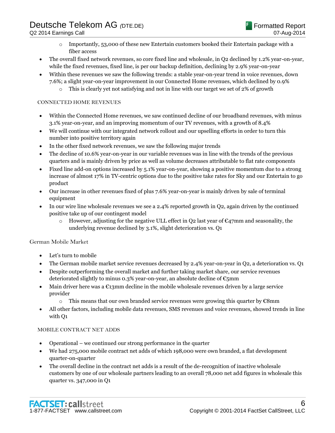- $\circ$  Importantly, 53,000 of these new Entertain customers booked their Entertain package with a fiber access
- The overall fixed network revenues, so core fixed line and wholesale, in Q2 declined by 1.2% year-on-year, while the fixed revenues, fixed line, is per our backup definition, declining by 2.9% year-on-year
- Within these revenues we saw the following trends: a stable year-on-year trend in voice revenues, down 7.6%; a slight year-on-year improvement in our Connected Home revenues, which declined by 0.9%
	- $\circ$  This is clearly vet not satisfying and not in line with our target we set of 2% of growth

## CONNECTED HOME REVENUES

- Within the Connected Home revenues, we saw continued decline of our broadband revenues, with minus 3.1% year-on-year, and an improving momentum of our TV revenues, with a growth of 8.4%
- We will continue with our integrated network rollout and our upselling efforts in order to turn this number into positive territory again
- In the other fixed network revenues, we saw the following major trends
- The decline of 10.6% year-on-year in our variable revenues was in line with the trends of the previous quarters and is mainly driven by price as well as volume decreases attributable to flat rate components
- Fixed line add-on options increased by 5.1% year-on-year, showing a positive momentum due to a strong increase of almost 17% in TV-centric options due to the positive take rates for Sky and our Entertain to go product
- Our increase in other revenues fixed of plus 7.6% year-on-year is mainly driven by sale of terminal equipment
- In our wire line wholesale revenues we see a 2.4% reported growth in Q2, again driven by the continued positive take up of our contingent model
	- o However, adjusting for the negative ULL effect in O2 last year of  $\mathfrak{C}_4$ 7mm and seasonality, the underlying revenue declined by 3.1%, slight deterioration vs. Q1

### German Mobile Market

- Let's turn to mobile
- The German mobile market service revenues decreased by 2.4% year-on-year in Q2, a deterioration vs. Q1
- Despite outperforming the overall market and further taking market share, our service revenues deteriorated slightly to minus 0.3% year-on-year, an absolute decline of  $\mathfrak{C}_{5mm}$
- Main driver here was a  $\epsilon_{13}$ mm decline in the mobile wholesale revenues driven by a large service provider
	- o This means that our own branded service revenues were growing this quarter by €8mm
- All other factors, including mobile data revenues, SMS revenues and voice revenues, showed trends in line with Q1

### MOBILE CONTRACT NET ADDS

- Operational we continued our strong performance in the quarter
- We had 275,000 mobile contract net adds of which 198,000 were own branded, a flat development quarter-on-quarter
- The overall decline in the contract net adds is a result of the de-recognition of inactive wholesale customers by one of our wholesale partners leading to an overall 78,000 net add figures in wholesale this quarter vs. 347,000 in Q1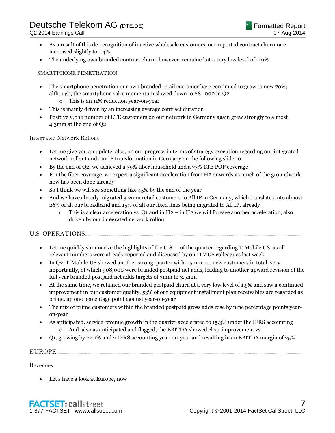- As a result of this de-recognition of inactive wholesale customers, our reported contract churn rate increased slightly to 1.4%
- The underlying own branded contract churn, however, remained at a very low level of 0.9%

### SMARTPHONE PENETRATION

- The smartphone penetration our own branded retail customer base continued to grow to now 70%; although, the smartphone sales momentum slowed down to 881,000 in Q2
	- o This is an 11% reduction year-on-year
- This is mainly driven by an increasing average contract duration
- Positively, the number of LTE customers on our network in Germany again grew strongly to almost 4.3mm at the end of Q2

Integrated Network Rollout

- Let me give you an update, also, on our progress in terms of strategy execution regarding our integrated network rollout and our IP transformation in Germany on the following slide 10
- By the end of Q2, we achieved a 39% fiber household and a 77% LTE POP coverage
- For the fiber coverage, we expect a significant acceleration from H2 onwards as much of the groundwork now has been done already
- So I think we will see something like 45% by the end of the year
- And we have already migrated 3.2mm retail customers to All IP in Germany, which translates into almost 26% of all our broadband and 15% of all our fixed lines being migrated to All IP, already
	- $\circ$  This is a clear acceleration vs. O1 and in H2 in H2 we will foresee another acceleration, also driven by our integrated network rollout

# **U.S. OPERATIONS.**

- Let me quickly summarize the highlights of the U.S. of the quarter regarding T-Mobile US, as all relevant numbers were already reported and discussed by our TMUS colleagues last week
- In Q2, T-Mobile US showed another strong quarter with 1.5mm net new customers in total, very importantly, of which 908,000 were branded postpaid net adds, leading to another upward revision of the full year branded postpaid net adds targets of 3mm to 3.5mm
- At the same time, we retained our branded postpaid churn at a very low level of 1.5% and saw a continued improvement in our customer quality. 53% of our equipment installment plan receivables are regarded as prime, up one percentage point against year-on-year
- The mix of prime customers within the branded postpaid gross adds rose by nine percentage points yearon-year
- As anticipated, service revenue growth in the quarter accelerated to 15.3% under the IFRS accounting o And, also as anticipated and flagged, the EBITDA showed clear improvement vs
- Q1, growing by 22.1% under IFRS accounting year-on-year and resulting in an EBITDA margin of 25%

## EUROPE <u>www.gradienter.com and the series of the series of the series of the series of the series of the series of the series of the series of the series of the series of the series of the series of the series of the serie</u>

### Revenues

Let's have a look at Europe, now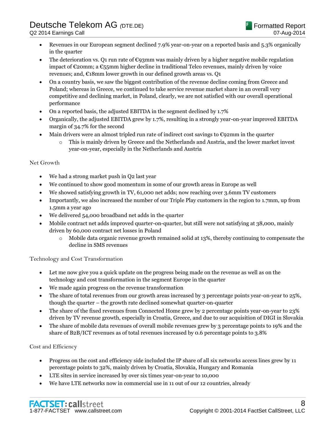- Revenues in our European segment declined 7.9% year-on-year on a reported basis and 5.3% organically in the quarter
- The deterioration vs. Q1 run rate of  $\epsilon$ 93mm was mainly driven by a higher negative mobile regulation impact of  $\epsilon$ 20mm; a  $\epsilon$ <sub>55</sub>mm higher decline in traditional Telco revenues, mainly driven by voice revenues; and,  $\epsilon_1$ 8mm lower growth in our defined growth areas vs. Q1
- On a country basis, we saw the biggest contribution of the revenue decline coming from Greece and Poland; whereas in Greece, we continued to take service revenue market share in an overall very competitive and declining market, in Poland, clearly, we are not satisfied with our overall operational performance
- On a reported basis, the adjusted EBITDA in the segment declined by 1.7%
- Organically, the adjusted EBITDA grew by 1.7%, resulting in a strongly year-on-year improved EBITDA margin of 34.7% for the second
- $\bullet$  Main drivers were an almost tripled run rate of indirect cost savings to  $\epsilon$ 92mm in the quarter
	- o This is mainly driven by Greece and the Netherlands and Austria, and the lower market invest year-on-year, especially in the Netherlands and Austria

# Net Growth

- We had a strong market push in Q2 last year
- We continued to show good momentum in some of our growth areas in Europe as well
- We showed satisfying growth in TV, 61,000 net adds; now reaching over 3.6mm TV customers
- Importantly, we also increased the number of our Triple Play customers in the region to 1.7mm, up from 1.5mm a year ago
- We delivered 54,000 broadband net adds in the quarter
- Mobile contract net adds improved quarter-on-quarter, but still were not satisfying at 38,000, mainly driven by 60,000 contract net losses in Poland
	- $\circ$  Mobile data organic revenue growth remained solid at 13%, thereby continuing to compensate the decline in SMS revenues

# Technology and Cost Transformation

- Let me now give you a quick update on the progress being made on the revenue as well as on the technology and cost transformation in the segment Europe in the quarter
- We made again progress on the revenue transformation
- The share of total revenues from our growth areas increased by 3 percentage points year-on-year to 25%, though the quarter – the growth rate declined somewhat quarter-on-quarter
- The share of the fixed revenues from Connected Home grew by 2 percentage points year-on-year to 23% driven by TV revenue growth, especially in Croatia, Greece, and due to our acquisition of DIGI in Slovakia
- The share of mobile data revenues of overall mobile revenues grew by 3 percentage points to 19% and the share of B2B/ICT revenues as of total revenues increased by 0.6 percentage points to 3.8%

# Cost and Efficiency

- Progress on the cost and efficiency side included the IP share of all six networks access lines grew by 11 percentage points to 32%, mainly driven by Croatia, Slovakia, Hungary and Romania
- LTE sites in service increased by over six times year-on-year to 10,000
- We have LTE networks now in commercial use in 11 out of our 12 countries, already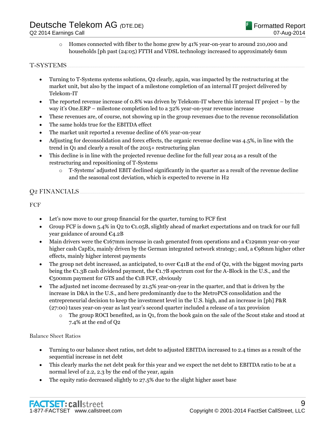o Homes connected with fiber to the home grew by 41% year-on-year to around 210,000 and households [ph past (24:05) FTTH and VDSL technology increased to approximately 6mm

## T-SYSTEMS.

- Turning to T-Systems systems solutions, Q2 clearly, again, was impacted by the restructuring at the market unit, but also by the impact of a milestone completion of an internal IT project delivered by Telekom-IT
- The reported revenue increase of 0.8% was driven by Telekom-IT where this internal IT project by the way it's One.ERP – milestone completion led to a 32% year-on-year revenue increase
- These revenues are, of course, not showing up in the group revenues due to the revenue reconsolidation
- The same holds true for the EBITDA effect
- The market unit reported a revenue decline of 6% year-on-year
- Adjusting for deconsolidation and forex effects, the organic revenue decline was 4.5%, in line with the trend in Q1 and clearly a result of the 2015+ restructuring plan
- This decline is in line with the projected revenue decline for the full year 2014 as a result of the restructuring and repositioning of T-Systems
	- $\circ$  T-Systems' adjusted EBIT declined significantly in the quarter as a result of the revenue decline and the seasonal cost deviation, which is expected to reverse in H2

# **O2 FINANCIALS**

## FCF

- Let's now move to our group financial for the quarter, turning to FCF first
- Group FCF is down 5.4% in Q2 to  $\epsilon$ 1.05B, slightly ahead of market expectations and on track for our full year guidance of around €4.2B
- Main drivers were the  $E167$ mm increase in cash generated from operations and a  $E129$ mm year-on-year higher cash CapEx, mainly driven by the German integrated network strategy; and, a €98mm higher other effects, mainly higher interest payments
- The group net debt increased, as anticipated, to over  $\mathcal{C}_{41B}$  at the end of O2, with the biggest moving parts being the €1.3B cash dividend payment, the €1.7B spectrum cost for the A-Block in the U.S., and the  $\epsilon$ <sub>50</sub>0mm payment for GTS and the  $\epsilon$ <sub>1</sub>B FCF, obviously
- The adjusted net income decreased by 21.5% year-on-year in the quarter, and that is driven by the increase in D&A in the U.S., and here predominantly due to the MetroPCS consolidation and the entrepreneurial decision to keep the investment level in the U.S. high, and an increase in [ph] P&R (27:00) taxes year-on-year as last year's second quarter included a release of a tax provision
	- $\circ$  The group ROCI benefited, as in Q1, from the book gain on the sale of the Scout stake and stood at 7.4% at the end of Q2

### Balance Sheet Ratios

- Turning to our balance sheet ratios, net debt to adjusted EBITDA increased to 2.4 times as a result of the sequential increase in net debt
- This clearly marks the net debt peak for this year and we expect the net debt to EBITDA ratio to be at a normal level of 2.2, 2.3 by the end of the year, again
- The equity ratio decreased slightly to 27.5% due to the slight higher asset base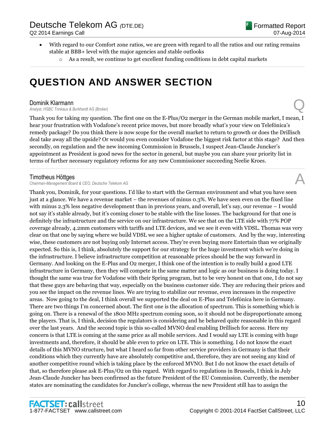- With regard to our Comfort zone ratios, we are green with regard to all the ratios and our rating remains stable at BBB+ level with the major agencies and stable outlooks
	- $\circ$  As a result, we continue to get excellent funding conditions in debt capital markets

......................................................................................................................................................................................................................................................

# **QUESTION AND ANSWER SECTION**

**Dominik Klarmann**<br>Analyst, HSBC Trinkaus & Burkhardt AG (Broker) **Dominik Klarmann**<br>Analyst, HSBC Trinkaus & Burkhardt AG (Broker)

Thank you for taking my question. The first one on the E-Plus/O2 merger in the German mobile market, I mean, I hear your frustration with Vodafone's recent price moves, but more broadly what's your view on Telefónica's remedy package? Do you think there is now scope for the overall market to return to growth or does the Drillisch deal take away all the upside? Or would you even consider Vodafone the biggest risk factor at this stage? And then secondly, on regulation and the new incoming Commission in Brussels, I suspect Jean-Claude Juncker's appointment as President is good news for the sector in general, but maybe you can share your priority list in terms of further necessary regulatory reforms for any new Commissioner succeeding Neelie Kroes.

......................................................................................................................................................................................................................................................

## Timotheus Höttges

**Chairman-Management Board & CEO, Deutsche Telekom AG** 

Thank you, Dominik, for your questions. I'd like to start with the German environment and what you have seen just at a glance. We have a revenue market – the revenues of minus 0.3%. We have seen even on the fixed line with minus 2.3% less negative development than in previous years, and overall, let's say, our revenue – I would not say it's stable already, but it's coming closer to be stable with the line losses. The background for that one is definitely the infrastructure and the service on our infrastructure. We see that on the LTE side with 77% POP coverage already, 4.2mm customers with tariffs and LTE devices, and we see it even with VDSL. Thomas was very clear on that one by saying where we build VDSL we see a higher uptake of customers. And by the way, interesting wise, these customers are not buying only Internet access. They're even buying more Entertain than we originally expected. So this is, I think, absolutely the support for our strategy for the huge investment which we're doing in the infrastructure. I believe infrastructure competition at reasonable prices should be the way forward in Germany. And looking on the E-Plus and O2 merger, I think one of the intention is to really build a good LTE infrastructure in Germany, then they will compete in the same matter and logic as our business is doing today. I thought the same was true for Vodafone with their Spring program, but to be very honest on that one, I do not say that these guys are behaving that way, especially on the business customer side. They are reducing their prices and you see the impact on the revenue lines. We are trying to stabilize our revenue, even increases in the respective areas. Now going to the deal, I think overall we supported the deal on E-Plus and Telefónica here in Germany. There are two things I'm concerned about. The first one is the allocation of spectrum. This is something which is going on. There is a renewal of the 1800 MHz spectrum coming soon, so it should not be disproportionate among the players. That is, I think, decision the regulators is considering and he behaved quite reasonable in this regard over the last years. And the second topic is this so-called MVNO deal enabling Drillisch for access. Here my concern is that LTE is coming at the same price as all mobile services. And I would say LTE is coming with huge investments and, therefore, it should be able even to price on LTE. This is something. I do not know the exact details of this MVNO structure, but what I heard so far from other service providers in Germany is that their conditions which they currently have are absolutely competitive and, therefore, they are not seeing any kind of another competitive round which is taking place by the enforced MVNO. But I do not know the exact details of that, so therefore please ask E-Plus/O2 on this regard. With regard to regulations in Brussels, I think in July Jean-Claude Juncker has been confirmed as the future President of the EU Commission. Currently, the member states are nominating the candidates for Juncker's college, whereas the new President still has to assign the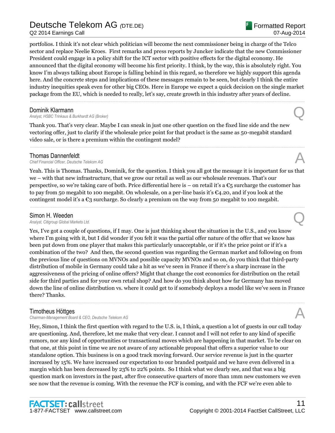Q2 2014 Earnings Call

portfolios. I think it's not clear which politician will become the next commissioner being in charge of the Telco sector and replace Neelie Kroes. First remarks and press reports by Juncker indicate that the new Commissioner President could engage in a policy shift for the ICT sector with positive effects for the digital economy. He announced that the digital economy will become his first priority. I think, by the way, this is absolutely right. You know I'm always talking about Europe is falling behind in this regard, so therefore we highly support this agenda here. And the concrete steps and implications of these messages remain to be seen, but clearly I think the entire industry inequities speak even for other big CEOs. Here in Europe we expect a quick decision on the single market package from the EU, which is needed to really, let's say, create growth in this industry after years of decline.

......................................................................................................................................................................................................................................................

**Dominik Klarmann**<br>Analyst, HSBC Trinkaus & Burkhardt AG (Broker) **Dominik Klarmann**<br>Analyst, HSBC Trinkaus & Burkhardt AG (Broker)

Thank you. That's very clear. Maybe I can sneak in just one other question on the fixed line side and the new vectoring offer, just to clarify if the wholesale price point for that product is the same as 50-megabit standard video sale, or is there a premium within the contingent model?

**Thomas Dannenfeldt**<br>Chief Financial Officer, Deutsche Telekom AG *Chief Financial Officer, Deutsche Telekom AG* A

Yeah. This is Thomas. Thanks, Dominik, for the question. I think you all got the message it is important for us that we – with that new infrastructure, that we grow our retail as well as our wholesale revenues. That's our perspective, so we're taking care of both. Price differential here is – on retail it's a  $\epsilon_5$  surcharge the customer has to pay from 50 megabit to 100 megabit. On wholesale, on a per-line basis it's €4.20, and if you look at the contingent model it's a  $\mathfrak{C}_3$  surcharge. So clearly a premium on the way from 50 megabit to 100 megabit.

......................................................................................................................................................................................................................................................

......................................................................................................................................................................................................................................................

**Simon H. Weeden**<br>Analyst, Citigroup Global Markets Ltd. *Analyst, Citigroup Global Markets Ltd.* Q

Yes, I've got a couple of questions, if I may. One is just thinking about the situation in the U.S., and you know where I'm going with it, but I did wonder if you felt it was the partial offer nature of the offer that we know has been put down from one player that makes this particularly unacceptable, or if it's the price point or if it's a combination of the two? And then, the second question was regarding the German market and following on from the previous line of questions on MVNOs and possible capacity MVNOs and so on, do you think that third-party distribution of mobile in Germany could take a hit as we've seen in France if there's a sharp increase in the aggressiveness of the pricing of online offers? Might that change the cost economics for distribution on the retail side for third parties and for your own retail shop? And how do you think about how far Germany has moved down the line of online distribution vs. where it could get to if somebody deploys a model like we've seen in France there? Thanks.

......................................................................................................................................................................................................................................................

# Timotheus Höttges

**Chairman-Management Board & CEO, Deutsche Telekom AG** 

Hey, Simon, I think the first question with regard to the U.S. is, I think, a question a lot of guests in our call today are questioning. And, therefore, let me make that very clear. I cannot and I will not refer to any kind of specific rumors, nor any kind of opportunities or transactional moves which are happening in that market. To be clear on that one, at this point in time we are not aware of any actionable proposal that offers a superior value to our standalone option. This business is on a good track moving forward. Our service revenue is just in the quarter increased by 15%. We have increased our expectation to our branded postpaid and we have even delivered in a margin which has been decreased by 23% to 22% points. So I think what we clearly see, and that was a big question mark on investors in the past, after five consecutive quarters of more than 1mm new customers we even see now that the revenue is coming. With the revenue the FCF is coming, and with the FCF we're even able to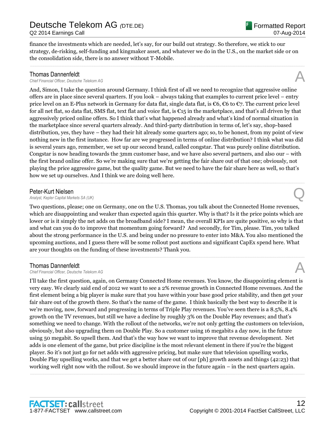finance the investments which are needed, let's say, for our build out strategy. So therefore, we stick to our strategy, de-risking, self-funding and kingmaker asset, and whatever we do in the U.S., on the market side or on the consolidation side, there is no answer without T-Mobile.

......................................................................................................................................................................................................................................................

**Thomas Dannenfeldt**<br>Chief Financial Officer, Deutsche Telekom AG *Chief Financial Officer, Deutsche Telekom AG* A

And, Simon, I take the question around Germany. I think first of all we need to recognize that aggressive online offers are in place since several quarters. If you look – always taking that examples to current price level – entry price level on an E-Plus network in Germany for data flat, single data flat, is €6, €6 to €7. The current price level for all net flat, so data flat, SMS flat, text flat and voice flat, is  $\epsilon_{15}$  in the marketplace, and that's all driven by that aggressively priced online offers. So I think that's what happened already and what's kind of normal situation in the marketplace since several quarters already. And third-party distribution in terms of, let's say, shop-based distribution, yes, they have – they had their hit already some quarters ago; so, to be honest, from my point of view nothing new in the first instance. How far are we progressed in terms of online distribution? I think what was did is several years ago, remember, we set up our second brand, called congstar. That was purely online distribution. Congstar is now heading towards the 3mm customer base, and we have also several partners, and also our – with the first brand online offer. So we're making sure that we're getting the fair share out of that one; obviously, not playing the price aggressive game, but the quality game. But we need to have the fair share here as well, so that's how we set up ourselves. And I think we are doing well here.

Peter-Kurt Nielsen<br>Analyst, Kepler Capital Markets SA (UK) *Analyst, Kepler Capital Markets SA (UK)* Q

Two questions, please; one on Germany, one on the U.S. Thomas, you talk about the Connected Home revenues, which are disappointing and weaker than expected again this quarter. Why is that? Is it the price points which are lower or is it simply the net adds on the broadband side? I mean, the overall KPIs are quite positive, so why is that and what can you do to improve that momentum going forward? And secondly, for Tim, please. Tim, you talked about the strong performance in the U.S. and being under no pressure to enter into M&A. You also mentioned the upcoming auctions, and I guess there will be some rollout post auctions and significant CapEx spend here. What are your thoughts on the funding of these investments? Thank you.

......................................................................................................................................................................................................................................................

......................................................................................................................................................................................................................................................

**Thomas Dannenfeldt**<br>Chief Financial Officer. Deutsche Telekom AG *Chief Financial Officer, Deutsche Telekom AG* A

I'll take the first question, again, on Germany Connected Home revenues. You know, the disappointing element is very easy. We clearly said end of 2012 we want to see a 2% revenue growth in Connected Home revenues. And the first element being a big player is make sure that you have within your base good price stability, and then get your fair share out of the growth there. So that's the name of the game. I think basically the best way to describe it is we're moving, now, forward and progressing in terms of Triple Play revenues. You've seen there is a 8.5%, 8.4% growth on the TV revenues, but still we have a decline by roughly 3% on the Double Play revenues; and that's something we need to change. With the rollout of the networks, we're not only getting the customers on television, obviously, but also upgrading them on Double Play. So a customer using 16 megabits a day now, in the future using 50 megabit. So upsell them. And that's the way how we want to improve that revenue development. Net adds is one element of the game, but price discipline is the most relevant element in there if you're the biggest player. So it's not just go for net adds with aggressive pricing, but make sure that television upselling works, Double Play upselling works, and that we get a better share out of our [ph] growth assets and things (42:23) that working well right now with the rollout. So we should improve in the future again – in the next quarters again. ......................................................................................................................................................................................................................................................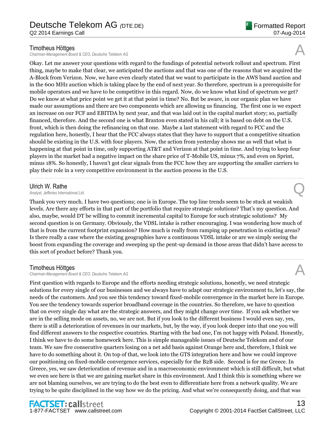## Timotheus Höttges

**Chairman-Management Board & CEO, Deutsche Telekom AG** 

Okay. Let me answer your questions with regard to the fundings of potential network rollout and spectrum. First thing, maybe to make that clear, we anticipated the auctions and that was one of the reasons that we acquired the A-Block from Verizon. Now, we have even clearly stated that we want to participate in the AWS band auction and in the 600 MHz auction which is taking place by the end of next year. So therefore, spectrum is a prerequisite for mobile operators and we have to be competitive in this regard. Now, do we know what kind of spectrum we get? Do we know at what price point we get it at that point in time? No. But be aware, in our organic plan we have made our assumptions and there are two components which are allowing us financing. The first one is we expect an increase on our FCF and EBITDA by next year, and that was laid out in the capital market story; so, partially financed, therefore. And the second one is what Braxton even stated in his call; it is based on debt on the U.S. front, which is then doing the refinancing on that one. Maybe a last statement with regard to FCC and the regulation here, honestly, I hear that the FCC always states that they have to support that a competitive situation should be existing in the U.S. with four players. Now, the action from yesterday shows me as well that what is happening at that point in time, only supporting AT&T and Verizon at that point in time. And trying to keep four players in the market had a negative impact on the share price of T-Mobile US, minus 7%, and even on Sprint, minus 18%. So honestly, I haven't got clear signals from the FCC how they are supporting the smaller carriers to play their role in a very competitive environment in the auction process in the U.S.

Ulrich W. Rathe<br>Analyst, Jefferies International Ltd. *Analyst, Jefferies International Ltd.* Q

Thank you very much. I have two questions; one is in Europe. The top line trends seem to be stuck at weakish levels. Are there any efforts in that part of the portfolio that require strategic solutions? That's my question. And also, maybe, would DT be willing to commit incremental capital to Europe for such strategic solutions? My second question is on Germany. Obviously, the VDSL intake is rather encouraging. I was wondering how much of that is from the current footprint expansion? How much is really from ramping up penetration in existing areas? Is there really a case where the existing geographies have a continuous VDSL intake or are we simply seeing the boost from expanding the coverage and sweeping up the pent-up demand in those areas that didn't have access to this sort of product before? Thank you.

......................................................................................................................................................................................................................................................

......................................................................................................................................................................................................................................................

# Timotheus Höttges

*Chairman-Management Board & CEO, Deutsche Telekom AG* A

First question with regards to Europe and the efforts needing strategic solutions, honestly, we need strategic solutions for every single of our businesses and we always have to adapt our strategic environment to, let's say, the needs of the customers. And you see this tendency toward fixed-mobile convergence in the market here in Europe. You see the tendency towards superior broadband coverage in the countries. So therefore, we have to question that on every single day what are the strategic answers, and they might change over time. If you ask whether we are in the selling mode on assets, no, we are not. But if you look to the different business I would even say, yes, there is still a deterioration of revenues in our markets, but, by the way, if you look deeper into that one you will find different answers to the respective countries. Starting with the bad one, I'm not happy with Poland. Honestly, I think we have to do some homework here. This is simple manageable issues of Deutsche Telekom and of our team. We saw five consecutive quarters losing on a net add basis against Orange here and, therefore, I think we have to do something about it. On top of that, we look into the GTS integration here and how we could improve our positioning on fixed-mobile convergence services, especially for the B2B side. Second is for me Greece. In Greece, yes, we saw deterioration of revenue and in a macroeconomic environment which is still difficult, but what we even see here is that we are gaining market share in this environment. And I think this is something where we are not blaming ourselves, we are trying to do the best even to differentiate here from a network quality. We are trying to be quite disciplined in the way how we do the pricing. And what we're consequently doing, and that was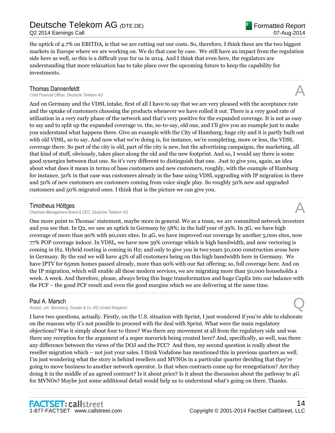Q2 2014 Earnings Call

the uptick of 4.7% on EBITDA, is that we are cutting out our costs. So, therefore, I think these are the two biggest markets in Europe where we are working on. We do that case by case. We still have an impact from the regulation side here as well, so this is a difficult year for us in 2014. And I think that even here, the regulators are understanding that more relaxation has to take place over the upcoming future to keep the capability for investments.

......................................................................................................................................................................................................................................................

## Thomas Dannenfeldt

*Chief Financial Officer, Deutsche Telekom AG* A

And on Germany and the VDSL intake, first of all I have to say that we are very pleased with the acceptance rate and the uptake of customers choosing the products whenever we have rolled it out. There is a very good rate of utilization in a very early phase of the network and that's very positive for the expanded coverage. It is not as easy to say and to split up the expanded coverage vs. the, so-to-say, old one, and I'll give you an example just to make you understand what happens there. Give an example with the City of Hamburg; huge city and it is partly built out with old VDSL, so to say. And now what we're doing is, for instance, we're completing, more or less, the VDSL coverage there. So part of the city is old, part of the city is new, but the advertising campaigns, the marketing, all that kind of stuff, obviously, takes place along the old and the new footprint. And so, I would say there is some good synergies between that one. So it's very different to distinguish that one. Just to give you, again, an idea about what does it mean in terms of base customers and new customers, roughly, with the example of Hamburg for instance, 50% in that case was customers already in the base using VDSL upgrading with IP migration in there and 50% of new customers are customers coming from voice single play. So roughly 50% new and upgraded customers and 50% migrated ones. I think that is the picture we can give you.

......................................................................................................................................................................................................................................................

# Timotheus Höttges

**Chairman-Management Board & CEO, Deutsche Telekom AG** 

One more point to Thomas' statement, maybe more in general. We as a team, we are committed network investors and you see that. In Q2, we saw an uptick in Germany by 58%; in the half year of 39%. In 3G, we have high coverage of more than 90% with 90,000 sites. In 4G, we have improved our coverage by another 5,000 sites, now 77% POP coverage indoor. In VDSL, we have now 39% coverage which is high bandwidth, and now vectoring is coming in H2. Hybrid routing is coming in H2; and only to give you in two years 50,000 construction areas here in Germany. By the end we will have 45% of all customers being on this high bandwidth here in Germany. We have IPTV for 65mm homes passed already, more than 90% with our Sat offering; so, full coverage here. And on the IP migration, which will enable all these modern services, we are migrating more than 50,000 households a week. A week. And therefore, please, always bring this huge transformation and huge CapEx into our balance with the FCF – the good FCF result and even the good margins which we are delivering at the same time.

......................................................................................................................................................................................................................................................

# Paul A. Marsch

*Analyst, Joh. Berenberg, Gossler & Co. KG (United Kingdom)* Q

I have two questions, actually. Firstly, on the U.S. situation with Sprint, I just wondered if you're able to elaborate on the reasons why it's not possible to proceed with the deal with Sprint. What were the main regulatory objections? Was it simply about four to three? Was there any movement at all from the regulatory side and was there any reception for the argument of a super maverick being created here? And, specifically, as well, was there any difference between the views of the DOJ and the FCC? And then, my second question is really about the reseller migration which – not just your sales. I think Vodafone has mentioned this in previous quarters as well. I'm just wondering what the story is behind resellers and MVNOs in a particular quarter deciding that they're going to move business to another network operator. Is that when contracts come up for renegotiation? Are they doing it in the middle of an agreed contract? Is it about price? Is it about the discussion about the pathway to 4G for MVNOs? Maybe just some additional detail would help us to understand what's going on there. Thanks.

......................................................................................................................................................................................................................................................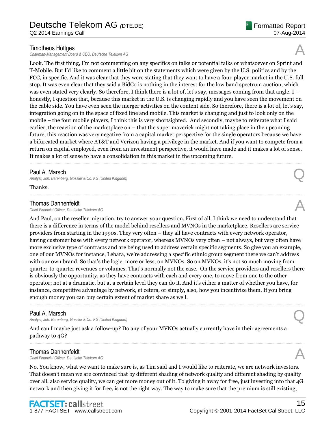## Timotheus Höttges

**Chairman-Management Board & CEO, Deutsche Telekom AG** 

Look. The first thing, I'm not commenting on any specifics on talks or potential talks or whatsoever on Sprint and T-Mobile. But I'd like to comment a little bit on the statements which were given by the U.S. politics and by the FCC, in specific. And it was clear that they were stating that they want to have a four-player market in the U.S. full stop. It was even clear that they said a BidCo is nothing in the interest for the low band spectrum auction, which was even stated very clearly. So therefore, I think there is a lot of, let's say, messages coming from that angle. I – honestly, I question that, because this market in the U.S. is changing rapidly and you have seen the movement on the cable side. You have even seen the merger activities on the content side. So therefore, there is a lot of, let's say, integration going on in the space of fixed line and mobile. This market is changing and just to look only on the mobile – the four mobile players, I think this is very shortsighted. And secondly, maybe to reiterate what I said earlier, the reaction of the marketplace on – that the super maverick might not taking place in the upcoming future, this reaction was very negative from a capital market perspective for the single operators because we have a bifurcated market where AT&T and Verizon having a privilege in the market. And if you want to compete from a return on capital employed, even from an investment perspective, it would have made and it makes a lot of sense. It makes a lot of sense to have a consolidation in this market in the upcoming future.

......................................................................................................................................................................................................................................................

......................................................................................................................................................................................................................................................

### Paul A. Marsch

*Analyst, Joh. Berenberg, Gossler & Co. KG (United Kingdom)* Q

Thanks.

### Thomas Dannenfeldt

*Chief Financial Officer, Deutsche Telekom AG* A

And Paul, on the reseller migration, try to answer your question. First of all, I think we need to understand that there is a difference in terms of the model behind resellers and MVNOs in the marketplace. Resellers are service providers from starting in the 1990s. They very often – they all have contracts with every network operator, having customer base with every network operator, whereas MVNOs very often – not always, but very often have more exclusive type of contracts and are being used to address certain specific segments. So give you an example, one of our MVNOs for instance, Lebara, we're addressing a specific ethnic group segment there we can't address with our own brand. So that's the logic, more or less, on MVNOs. So on MVNOs, it's not so much moving from quarter-to-quarter revenues or volumes. That's normally not the case. On the service providers and resellers there is obviously the opportunity, as they have contracts with each and every one, to move from one to the other operator; not at a dramatic, but at a certain level they can do it. And it's either a matter of whether you have, for instance, competitive advantage by network, et cetera, or simply, also, how you incentivize them. If you bring enough money you can buy certain extent of market share as well.

......................................................................................................................................................................................................................................................

# Paul A. Marsch

*Analyst, Joh. Berenberg, Gossler & Co. KG (United Kingdom)* Q

And can I maybe just ask a follow-up? Do any of your MVNOs actually currently have in their agreements a pathway to 4G?

**Thomas Dannenfeldt**<br>Chief Financial Officer, Deutsche Telekom AG *Chief Financial Officer, Deutsche Telekom AG* A

No. You know, what we want to make sure is, as Tim said and I would like to reiterate, we are network investors. That doesn't mean we are convinced that by different shading of network quality and different shading by quality over all, also service quality, we can get more money out of it. To giving it away for free, just investing into that 4G network and then giving it for free, is not the right way. The way to make sure that the premium is still existing,

......................................................................................................................................................................................................................................................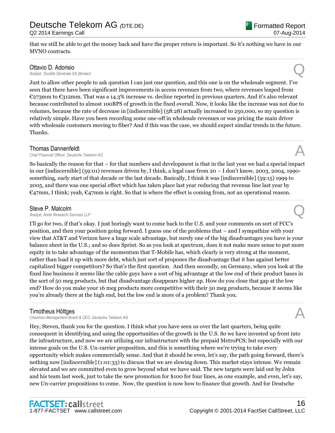Q2 2014 Earnings Call

that we still be able to get the money back and have the proper return is important. So it's nothing we have in our MVNO contracts. ......................................................................................................................................................................................................................................................

# Ottavio D. Adorisio

*Analyst, Société Générale SA (Broker)* Q

Just to allow other people to ask question I can just one question, and this one is on the wholesale segment. I've seen that there have been significant improvements in access revenues from two, where revenues leaped from €273mm to €312mm. That was a 14.3% increase vs. decline reported in previous quarters. And it's also relevant because contributed to almost 100BPS of growth in the fixed overall. Now, it looks like the increase was not due to volumes, because the rate of decrease in [indiscernible] (58:28) actually increased to 250,000, so my question is relatively simple. Have you been recording some one-off in wholesale revenues or was pricing the main driver with wholesale customers moving to fiber? And if this was the case, we should expect similar trends in the future. Thanks.

# Thomas Dannenfeldt

*Chief Financial Officer, Deutsche Telekom AG* A

So basically the reason for that – for that numbers and development is that in the last year we had a special impact in our [indiscernible] (59:01) revenues driven by, I think, a legal case from  $20 - I$  don't know, 2003, 2004, 1990something, early start of that decade or the last decade. Basically, I think it was [indiscernible] (59:15) 1999 to 2005, and there was one special effect which has taken place last year reducing that revenue line last year by  $\epsilon$ 47mm, I think; yeah,  $\epsilon$ 47mm is right. So that is where the effect is coming from, not an operational reason.

......................................................................................................................................................................................................................................................

## Steve P. Malcolm

**Steve P. Malcolm**<br>Analyst, Arete Research Services LLP<br>**Analyst, Arete Research Services LLP** 

I'll go for two, if that's okay. I just boringly want to come back to the U.S. and your comments on sort of FCC's position, and then your position going forward. I guess one of the problems that – and I sympathize with your view that AT&T and Verizon have a huge scale advantage, but surely one of the big disadvantages you have is your balance sheet in the U.S.; and so does Sprint. So as you look at spectrum, does it not make more sense to put more equity in to take advantage of the momentum that T-Mobile has, which clearly is very strong at the moment, rather than load it up with more debt, which just sort of propones the disadvantage that it has against better capitalized bigger competitors? So that's the first question. And then secondly, on Germany, when you look at the fixed line business it seems like the cable guys have a sort of big advantage at the low end of their product bases in the sort of 50 meg products, but that disadvantage disappears higher up. How do you close that gap at the low end? How do you make your 16 meg products more competitive with their 50 meg products, because it seems like you're already there at the high end, but the low end is more of a problem? Thank you.

......................................................................................................................................................................................................................................................

# Timotheus Höttges

**Chairman-Management Board & CEO, Deutsche Telekom AG** 

Hey, Steven, thank you for the question. I think what you have seen us over the last quarters, being quite consequent in identifying and using the opportunities of the growth in the U.S. So we have invested up front into the infrastructure, and now we are utilizing our infrastructure with the prepaid MetroPCS; but especially with our intense goals on the U.S. Un-carrier proposition, and this is something where we're trying to take every opportunity which makes commercially sense. And that it should be even, let's say, the path going forward, there's nothing now [indiscernible] (1:01:33) to discuss that we are slowing down. This market stays intense. We remain elevated and we are committed even to grow beyond what we have said. The new targets were laid out by John and his team last week, just to take the new promotion for \$100 for four lines, as one example, and even, let's say, new Un-carrier propositions to come. Now, the question is now how to finance that growth. And for Deutsche



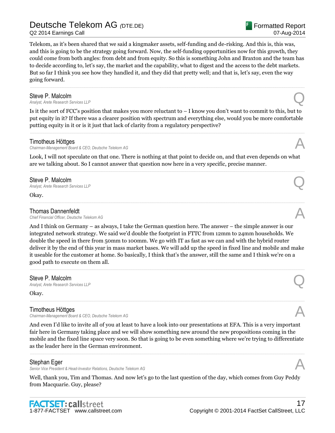Q2 2014 Earnings Call

Telekom, as it's been shared that we said a kingmaker assets, self-funding and de-risking. And this is, this was, and this is going to be the strategy going forward. Now, the self-funding opportunities now for this growth, they could come from both angles: from debt and from equity. So this is something John and Braxton and the team has to decide according to, let's say, the market and the capability, what to digest and the access to the debt markets. But so far I think you see how they handled it, and they did that pretty well; and that is, let's say, even the way going forward.

......................................................................................................................................................................................................................................................

# Steve P. Malcolm<br>Analyst, Arete Research Services LLP

**Steve P. Malcolm**<br>Analyst, Arete Research Services LLP<br>**Analyst, Arete Research Services LLP** 

Is it the sort of FCC's position that makes you more reluctant to  $-1$  know you don't want to commit to this, but to put equity in it? If there was a clearer position with spectrum and everything else, would you be more comfortable putting equity in it or is it just that lack of clarity from a regulatory perspective?

......................................................................................................................................................................................................................................................

# Timotheus Höttges

**Chairman-Management Board & CEO, Deutsche Telekom AG** 

Look, I will not speculate on that one. There is nothing at that point to decide on, and that even depends on what are we talking about. So I cannot answer that question now here in a very specific, precise manner.

Steve P. Malcolm<br>Analyst, Arete Research Services LLP **Steve P. Malcolm**<br>Analyst, Arete Research Services LLP<br>**Analyst, Arete Research Services LLP** 

Okay.

**Thomas Dannenfeldt**<br>Chief Financial Officer, Deutsche Telekom AG *Chief Financial Officer, Deutsche Telekom AG* A

And I think on Germany – as always, I take the German question here. The answer – the simple answer is our integrated network strategy. We said we'd double the footprint in FTTC from 12mm to 24mm households. We double the speed in there from 50mm to 100mm. We go with IT as fast as we can and with the hybrid router deliver it by the end of this year in mass market bases. We will add up the speed in fixed line and mobile and make it useable for the customer at home. So basically, I think that's the answer, still the same and I think we're on a good path to execute on them all.

......................................................................................................................................................................................................................................................

......................................................................................................................................................................................................................................................

......................................................................................................................................................................................................................................................

# Steve P. Malcolm

**Steve P. Malcolm**<br>Analyst, Arete Research Services LLP<br>**Analyst, Arete Research Services LLP** 

Okay.

# Timotheus Höttges

**Chairman-Management Board & CEO, Deutsche Telekom AG** 

And even I'd like to invite all of you at least to have a look into our presentations at EFA. This is a very important fair here in Germany taking place and we will show something new around the new propositions coming in the mobile and the fixed line space very soon. So that is going to be even something where we're trying to differentiate as the leader here in the German environment.

# Stephan Eger

**Senior Vice President & Head-Investor Relations, Deutsche Telekom AG** 

Well, thank you, Tim and Thomas. And now let's go to the last question of the day, which comes from Guy Peddy from Macquarie. Guy, please?







Formatted Report

07-Aug-2014